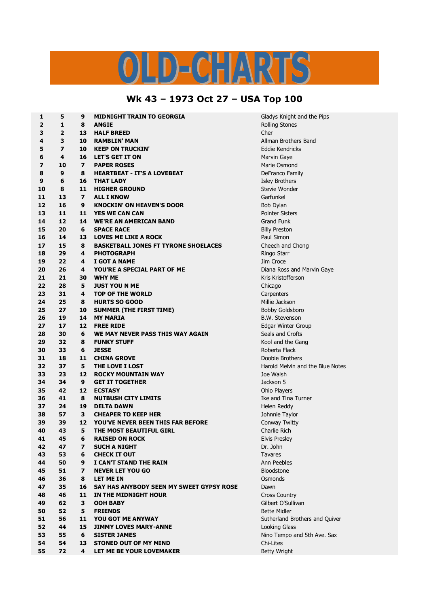## $D = C - 12R^2$

## **Wk 43 – 1973 Oct 27 – USA Top 100**

| $\mathbf{1}$   | 5                       | 9                       | <b>MIDNIGHT TRAIN TO GEORGIA</b>            | Gladys Kn          |
|----------------|-------------------------|-------------------------|---------------------------------------------|--------------------|
| $\mathbf{2}$   | $\mathbf{1}$            | 8                       | <b>ANGIE</b>                                | <b>Rolling Sto</b> |
| 3              | $\overline{2}$          | 13                      | <b>HALF BREED</b>                           | Cher               |
| 4              | 3                       | 10                      | <b>RAMBLIN' MAN</b>                         | Allman Bro         |
| 5              | $\overline{\mathbf{z}}$ | 10                      | <b>KEEP ON TRUCKIN'</b>                     | Eddie Ken          |
| 6              | 4                       | 16                      | <b>LET'S GET IT ON</b>                      | Marvin Ga          |
| $\overline{ }$ | 10                      | $\overline{ }$          | <b>PAPER ROSES</b>                          | Marie Osn          |
| 8              | 9                       | 8                       | <b>HEARTBEAT - IT'S A LOVEBEAT</b>          | DeFranco           |
| 9              | 6                       | 16                      | <b>THAT LADY</b>                            | <b>Isley Brotl</b> |
| 10             | 8                       | 11                      | <b>HIGHER GROUND</b>                        | Stevie Wo          |
| 11             | 13                      | $\overline{ }$          | <b>ALL I KNOW</b>                           | Garfunkel          |
| 12             | 16                      | 9                       | <b>KNOCKIN' ON HEAVEN'S DOOR</b>            | Bob Dylan          |
| 13             | 11                      | 11                      | <b>YES WE CAN CAN</b>                       | Pointer Sis        |
| 14             | 12                      | 14                      | <b>WE'RE AN AMERICAN BAND</b>               | <b>Grand Fur</b>   |
| 15             | 20                      | 6                       | <b>SPACE RACE</b>                           | <b>Billy Prest</b> |
| 16             | 14                      | 13                      | <b>LOVES ME LIKE A ROCK</b>                 | Paul Simo          |
| 17             | 15                      | 8                       | <b>BASKETBALL JONES FT TYRONE SHOELACES</b> | Cheech ar          |
| 18             | 29                      | 4                       | <b>PHOTOGRAPH</b>                           | Ringo Star         |
| 19             | 22                      | 4                       | I GOT A NAME                                | Jim Croce          |
| 20             | 26                      | 4                       | YOU'RE A SPECIAL PART OF ME                 | Diana Ros          |
| 21             | 21                      | 30                      | <b>WHY ME</b>                               | Kris Kristo        |
| 22             | 28                      | 5                       | <b>JUST YOU N ME</b>                        | Chicago            |
| 23             | 31                      | 4                       | <b>TOP OF THE WORLD</b>                     | Carpenter          |
| 24             | 25                      | 8                       | <b>HURTS SO GOOD</b>                        | Millie Jack        |
| 25             | 27                      | 10                      | <b>SUMMER (THE FIRST TIME)</b>              | <b>Bobby Gol</b>   |
| 26             | 19                      | 14                      | <b>MY MARIA</b>                             | <b>B.W. Stev</b>   |
| 27             | 17                      | 12                      | <b>FREE RIDE</b>                            | Edgar Wir          |
| 28             | 30                      | 6                       | WE MAY NEVER PASS THIS WAY AGAIN            | Seals and          |
| 29             | 32                      | 8                       | <b>FUNKY STUFF</b>                          | Kool and t         |
| 30             | 33                      | 6                       | <b>JESSE</b>                                | Roberta F          |
| 31             | 18                      | 11                      | <b>CHINA GROVE</b>                          | Doobie Br          |
| 32             | 37                      | 5                       | THE LOVE I LOST                             | Harold Me          |
| 33             | 23                      | 12                      | <b>ROCKY MOUNTAIN WAY</b>                   | Joe Walsh          |
| 34             | 34                      | 9                       | <b>GET IT TOGETHER</b>                      | Jackson 5          |
| 35             | 42                      | 12                      | <b>ECSTASY</b>                              | Ohio Playe         |
| 36             | 41                      | 8                       | <b>NUTBUSH CITY LIMITS</b>                  | Ike and Ti         |
| 37             | 24                      | 19                      | <b>DELTA DAWN</b>                           | Helen Red          |
| 38             | 57                      | 3                       | <b>CHEAPER TO KEEP HER</b>                  | Johnnie Ta         |
| 39             | 39                      | 12                      | <b>YOU'VE NEVER BEEN THIS FAR BEFORE</b>    | Conway T           |
| 40             | 43                      | 5                       | THE MOST BEAUTIFUL GIRL                     | Charlie Rio        |
| 41             | 45                      | 6                       | <b>RAISED ON ROCK</b>                       | <b>Elvis Presl</b> |
| 42             | 47                      | $\overline{ }$          | <b>SUCH A NIGHT</b>                         | Dr. John           |
| 43             | 53                      | 6                       | <b>CHECK IT OUT</b>                         | Tavares            |
| 44             | 50                      | 9                       | I CAN'T STAND THE RAIN                      | Ann Peebl          |
| 45             | 51                      | $\overline{\mathbf{z}}$ | <b>NEVER LET YOU GO</b>                     | Bloodston          |
| 46             | 36                      | 8                       | <b>LET ME IN</b>                            | Osmonds            |
| 47             | 35                      | 16                      | SAY HAS ANYBODY SEEN MY SWEET GYPSY ROSE    | Dawn               |
| 48             | 46                      | 11                      | IN THE MIDNIGHT HOUR                        | <b>Cross Cou</b>   |
| 49             | 62                      | 3                       | <b>OOH BABY</b>                             | Gilbert O'S        |
| 50             | 52                      | 5                       | <b>FRIENDS</b>                              | <b>Bette Midl</b>  |
| 51             | 56                      | 11                      | <b>YOU GOT ME ANYWAY</b>                    | Sutherland         |
| 52             | 44                      | 15                      | <b>JIMMY LOVES MARY-ANNE</b>                | Looking G          |
| 53             | 55                      | 6                       | <b>SISTER JAMES</b>                         | Nino Tem           |
| 54             | 54                      | 13                      | <b>STONED OUT OF MY MIND</b>                | Chi-Lites          |
| 55             | 72                      | 4                       | LET ME BE YOUR LOVEMAKER                    | <b>Betty Wrig</b>  |

**6** Gladys Knight and the Pips **Rolling Stones 4 3 10 RAMBLIN' MAN** Allman Brothers Band  $E$ ddie Kendricks **Marvin Gaye Marie Osmond 8 9 8 HEARTBEAT - IT'S A LOVEBEAT** DeFranco Family **9 6 16 THAT LADY** Isley Brothers **Stevie Wonder 12 16 9 KNOCKIN' ON HEAVEN'S DOOR** Bob Dylan **Pointer Sisters 14 12 14 WE'RE AN AMERICAN BAND** Grand Funk **15 20 6 SPACE RACE** Billy Preston **Paul Simon 17** Cheech and Chong **Ringo Starr 19 22 4 I GOT A NAME** Jim Croce **Diana Ross and Marvin Gaye 21 21 30 WHY ME** Kris Kristofferson  $Carpenters$ **24 25 8 HURTS SO GOOD** Millie Jackson **Bobby Goldsboro 26 19 14 MY MARIA** B.W. Stevenson **27 17 12 FREE RIDE** Edgar Winter Group **28 Seals and Crofts Kool and the Gang 30 33 6 JESSE** Roberta Flack **Doobie Brothers 32 37 5 THE LOVE I LOST** Harold Melvin and the Blue Notes **Jackson 5 3** Ohio Players **Ike and Tina Turner Helen Reddy 38 57 3 CHEAPER TO KEEP HER** Johnnie Taylor **39 39 12 YOU'VE NEVER BEEN THIS FAR BEFORE** Conway Twitty **Charlie Rich Elvis Presley Ann Peebles**  $B$  **Bloodstone 4** Cross Country **49 62 3 OOH BABY** Gilbert O'Sullivan **Bette Midler Sutherland Brothers and Quiver Looking Glass Nino Tempo and 5th Ave. Sax Betty Wright**